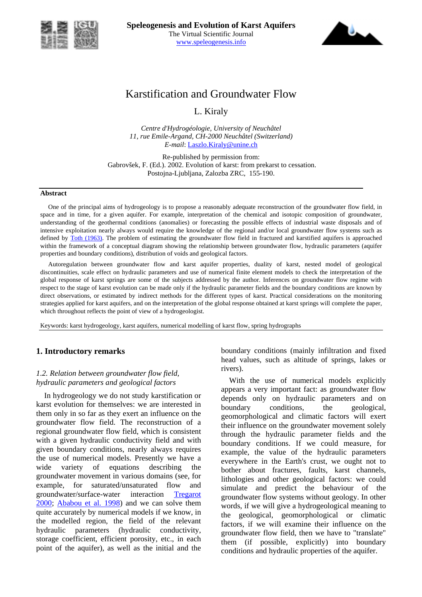



# Karstification and Groundwater Flow

L. Kiraly

*Centre d'Hydrogéologie, University of Neuchâtel 11, rue Emile-Argand, CH-2000 Neuchâtel (Switzerland) E-mail*: Laszlo.Kiraly@unine.ch

Re-published by permission from: Gabrovšek, F. (Ed.). 2002. Evolution of karst: from prekarst to cessation. Postojna-Ljubljana, Zalozba ZRC, 155-190.

#### **Abstract**

One of the principal aims of hydrogeology is to propose a reasonably adequate reconstruction of the groundwater flow field, in space and in time, for a given aquifer. For example, interpretation of the chemical and isotopic composition of groundwater, understanding of the geothermal conditions (anomalies) or forecasting the possible effects of industrial waste disposals and of intensive exploitation nearly always would require the knowledge of the regional and/or local groundwater flow systems such as defined by Toth (1963). The problem of estimating the groundwater flow field in fractured and karstified aquifers is approached within the framework of a conceptual diagram showing the relationship between groundwater flow, hydraulic parameters (aquifer properties and boundary conditions), distribution of voids and geological factors.

Autoregulation between groundwater flow and karst aquifer properties, duality of karst, nested model of geological discontinuities, scale effect on hydraulic parameters and use of numerical finite element models to check the interpretation of the global response of karst springs are some of the subjects addressed by the author. Inferences on groundwater flow regime with respect to the stage of karst evolution can be made only if the hydraulic parameter fields and the boundary conditions are known by direct observations, or estimated by indirect methods for the different types of karst. Practical considerations on the monitoring strategies applied for karst aquifers, and on the interpretation of the global response obtained at karst springs will complete the paper, which throughout reflects the point of view of a hydrogeologist.

Keywords: karst hydrogeology, karst aquifers, numerical modelling of karst flow, spring hydrographs

### **1. Introductory remarks**

### *1.2. Relation between groundwater flow field, hydraulic parameters and geological factors*

In hydrogeology we do not study karstification or karst evolution for themselves: we are interested in them only in so far as they exert an influence on the groundwater flow field. The reconstruction of a regional groundwater flow field, which is consistent with a given hydraulic conductivity field and with given boundary conditions, nearly always requires the use of numerical models. Presently we have a wide variety of equations describing the groundwater movement in various domains (see, for example, for saturated/unsaturated flow and groundwater/surface-water interaction Tregarot 2000; Ababou et al. 1998) and we can solve them quite accurately by numerical models if we know, in the modelled region, the field of the relevant hydraulic parameters (hydraulic conductivity, storage coefficient, efficient porosity, etc., in each point of the aquifer), as well as the initial and the boundary conditions (mainly infiltration and fixed head values, such as altitude of springs, lakes or rivers).

With the use of numerical models explicitly appears a very important fact: as groundwater flow depends only on hydraulic parameters and on boundary conditions, the geological, geomorphological and climatic factors will exert their influence on the groundwater movement solely through the hydraulic parameter fields and the boundary conditions. If we could measure, for example, the value of the hydraulic parameters everywhere in the Earth's crust, we ought not to bother about fractures, faults, karst channels, lithologies and other geological factors: we could simulate and predict the behaviour of the groundwater flow systems without geology. In other words, if we will give a hydrogeological meaning to the geological, geomorphological or climatic factors, if we will examine their influence on the groundwater flow field, then we have to "translate" them (if possible, explicitly) into boundary conditions and hydraulic properties of the aquifer.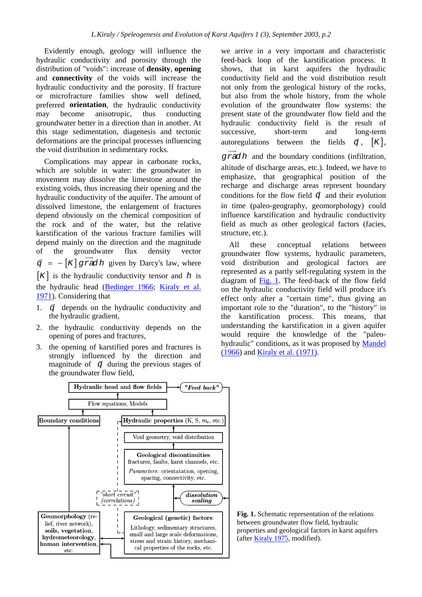Evidently enough, geology will influence the hydraulic conductivity and porosity through the distribution of "voids": increase of **density**, **opening** and **connectivity** of the voids will increase the hydraulic conductivity and the porosity. If fracture or microfracture families show well defined, preferred **orientation**, the hydraulic conductivity may become anisotropic, thus conducting groundwater better in a direction than in another. At this stage sedimentation, diagenesis and tectonic deformations are the principal processes influencing the void distribution in sedimentary rocks.

Complications may appear in carbonate rocks, which are soluble in water: the groundwater in movement may dissolve the limestone around the existing voids, thus increasing their opening and the hydraulic conductivity of the aquifer. The amount of dissolved limestone, the enlargement of fractures depend obviously on the chemical composition of the rock and of the water, but the relative karstification of the various fracture families will depend mainly on the direction and the magnitude of the groundwater flux density vector  $\vec{q}$  = − [K] qrad h given by Darcy's law, where  $[K]$  is the hydraulic conductivity tensor and *h* is the hydraulic head (Bedinger 1966; Kiraly et al. 1971). Considering that

- $\overline{q}$  depends on the hydraulic conductivity and the hydraulic gradient,
- 2. the hydraulic conductivity depends on the opening of pores and fractures,
- 3. the opening of karstified pores and fractures is strongly influenced by the direction and strongry influenced by the direction and<br>magnitude of  $\vec{q}$  during the previous stages of the groundwater flow field,

we arrive in a very important and characteristic feed-back loop of the karstification process. It shows, that in karst aquifers the hydraulic conductivity field and the void distribution result not only from the geological history of the rocks, but also from the whole history, from the whole evolution of the groundwater flow systems: the present state of the groundwater flow field and the hydraulic conductivity field is the result of successive, short-term and long-term autoregulations between the fields  $\vec{q}$ ,  $[K]$ , *grad h* and the boundary conditions (infiltration, altitude of discharge areas, etc.). Indeed, we have to emphasize, that geographical position of the recharge and discharge areas represent boundary conditions for the flow field  $\vec{q}$  and their evolution in time (paleo-geography, geomorphology) could influence karstification and hydraulic conductivity field as much as other geological factors (facies, structure, etc.).

All these conceptual relations between groundwater flow systems, hydraulic parameters, void distribution and geological factors are represented as a partly self-regulating system in the diagram of Fig. 1. The feed-back of the flow field on the hydraulic conductivity field will produce it's effect only after a "certain time", thus giving an important role to the "duration", to the "history" in the karstification process. This means, that understanding the karstification in a given aquifer would require the knowledge of the "paleohydraulic" conditions, as it was proposed by Mandel (1966) and Kiraly et al. (1971).



**Fig. 1.** Schematic representation of the relations between groundwater flow field, hydraulic properties and geological factors in karst aquifers (after Kiraly 1975, modified).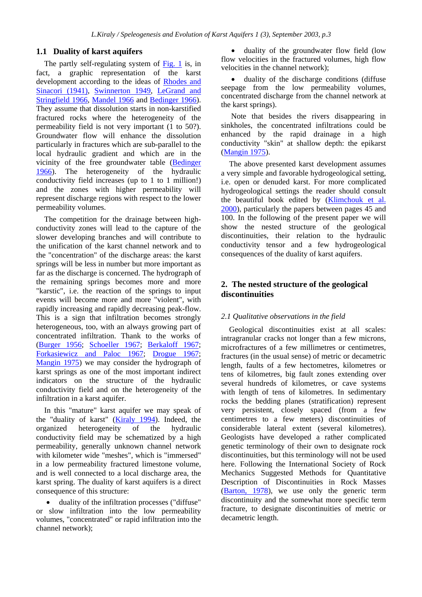### **1.1 Duality of karst aquifers**

The partly self-regulating system of Fig. 1 is, in fact, a graphic representation of the karst development according to the ideas of Rhodes and Sinacori (1941), Swinnerton 1949, LeGrand and Stringfield 1966, Mandel 1966 and Bedinger 1966). They assume that dissolution starts in non-karstified fractured rocks where the heterogeneity of the permeability field is not very important (1 to 50?). Groundwater flow will enhance the dissolution particularly in fractures which are sub-parallel to the local hydraulic gradient and which are in the vicinity of the free groundwater table (Bedinger 1966). The heterogeneity of the hydraulic conductivity field increases (up to 1 to 1 million!) and the zones with higher permeability will represent discharge regions with respect to the lower permeability volumes.

The competition for the drainage between highconductivity zones will lead to the capture of the slower developing branches and will contribute to the unification of the karst channel network and to the "concentration" of the discharge areas: the karst springs will be less in number but more important as far as the discharge is concerned. The hydrograph of the remaining springs becomes more and more "karstic", i.e. the reaction of the springs to input events will become more and more "violent", with rapidly increasing and rapidly decreasing peak-flow. This is a sign that infiltration becomes strongly heterogeneous, too, with an always growing part of concentrated infiltration. Thank to the works of (Burger 1956; Schoeller 1967; Berkaloff 1967; Forkasiewicz and Paloc 1967; Drogue 1967; Mangin 1975) we may consider the hydrograph of karst springs as one of the most important indirect indicators on the structure of the hydraulic conductivity field and on the heterogeneity of the infiltration in a karst aquifer.

In this "mature" karst aquifer we may speak of the "duality of karst" (Kiraly 1994). Indeed, the organized heterogeneity of the hydraulic conductivity field may be schematized by a high permeability, generally unknown channel network with kilometer wide "meshes", which is "immersed" in a low permeability fractured limestone volume, and is well connected to a local discharge area, the karst spring. The duality of karst aquifers is a direct consequence of this structure:

• duality of the infiltration processes ("diffuse" or slow infiltration into the low permeability volumes, "concentrated" or rapid infiltration into the channel network);

• duality of the groundwater flow field (low flow velocities in the fractured volumes, high flow velocities in the channel network);

• duality of the discharge conditions (diffuse seepage from the low permeability volumes, concentrated discharge from the channel network at the karst springs).

 Note that besides the rivers disappearing in sinkholes, the concentrated infiltrations could be enhanced by the rapid drainage in a high conductivity "skin" at shallow depth: the epikarst (Mangin 1975).

The above presented karst development assumes a very simple and favorable hydrogeological setting, i.e. open or denuded karst. For more complicated hydrogeological settings the reader should consult the beautiful book edited by (Klimchouk et al. 2000), particularly the papers between pages 45 and 100. In the following of the present paper we will show the nested structure of the geological discontinuities, their relation to the hydraulic conductivity tensor and a few hydrogeological consequences of the duality of karst aquifers.

# **2. The nested structure of the geological discontinuities**

### *2.1 Qualitative observations in the field*

Geological discontinuities exist at all scales: intragranular cracks not longer than a few microns, microfractures of a few millimetres or centimetres, fractures (in the usual sense) of metric or decametric length, faults of a few hectometres, kilometres or tens of kilometres, big fault zones extending over several hundreds of kilometres, or cave systems with length of tens of kilometres. In sedimentary rocks the bedding planes (stratification) represent very persistent, closely spaced (from a few centimetres to a few meters) discontinuities of considerable lateral extent (several kilometres). Geologists have developed a rather complicated genetic terminology of their own to designate rock discontinuities, but this terminology will not be used here. Following the International Society of Rock Mechanics Suggested Methods for Quantitative Description of Discontinuities in Rock Masses (Barton, 1978), we use only the generic term discontinuity and the somewhat more specific term fracture, to designate discontinuities of metric or decametric length.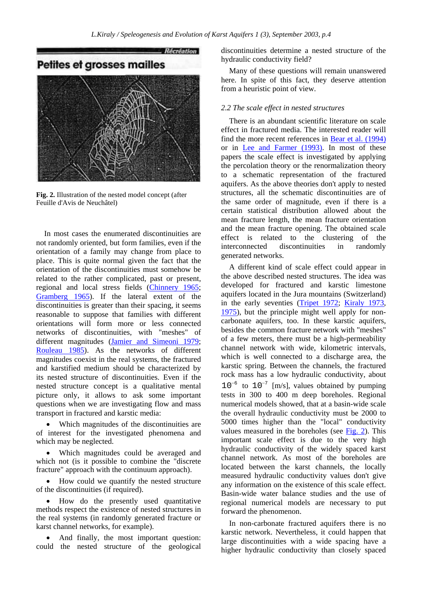

**Fig. 2.** Illustration of the nested model concept (after Feuille d'Avis de Neuchâtel)

In most cases the enumerated discontinuities are not randomly oriented, but form families, even if the orientation of a family may change from place to place. This is quite normal given the fact that the orientation of the discontinuities must somehow be related to the rather complicated, past or present, regional and local stress fields (Chinnery 1965; Gramberg 1965). If the lateral extent of the discontinuities is greater than their spacing, it seems reasonable to suppose that families with different orientations will form more or less connected networks of discontinuities, with "meshes" of different magnitudes (Jamier and Simeoni 1979; Rouleau 1985). As the networks of different magnitudes coexist in the real systems, the fractured and karstified medium should be characterized by its nested structure of discontinuities. Even if the nested structure concept is a qualitative mental picture only, it allows to ask some important questions when we are investigating flow and mass transport in fractured and karstic media:

• Which magnitudes of the discontinuities are of interest for the investigated phenomena and which may be neglected.

• Which magnitudes could be averaged and which not (is it possible to combine the "discrete fracture" approach with the continuum approach).

• How could we quantify the nested structure of the discontinuities (if required).

• How do the presently used quantitative methods respect the existence of nested structures in the real systems (in randomly generated fracture or karst channel networks, for example).

And finally, the most important question: could the nested structure of the geological discontinuities determine a nested structure of the hydraulic conductivity field?

Many of these questions will remain unanswered here. In spite of this fact, they deserve attention from a heuristic point of view.

#### *2.2 The scale effect in nested structures*

There is an abundant scientific literature on scale effect in fractured media. The interested reader will find the more recent references in Bear et al. (1994) or in Lee and Farmer (1993). In most of these papers the scale effect is investigated by applying the percolation theory or the renormalization theory to a schematic representation of the fractured aquifers. As the above theories don't apply to nested structures, all the schematic discontinuities are of the same order of magnitude, even if there is a certain statistical distribution allowed about the mean fracture length, the mean fracture orientation and the mean fracture opening. The obtained scale effect is related to the clustering of the interconnected discontinuities in randomly generated networks.

A different kind of scale effect could appear in the above described nested structures. The idea was developed for fractured and karstic limestone aquifers located in the Jura mountains (Switzerland) in the early seventies (Tripet 1972; Kiraly 1973, 1975), but the principle might well apply for noncarbonate aquifers, too. In these karstic aquifers, besides the common fracture network with "meshes" of a few meters, there must be a high-permeability channel network with wide, kilometric intervals, which is well connected to a discharge area, the karstic spring. Between the channels, the fractured rock mass has a low hydraulic conductivity, about  $10^{-6}$  to  $10^{-7}$  [m/s], values obtained by pumping tests in 300 to 400 m deep boreholes. Regional numerical models showed, that at a basin-wide scale the overall hydraulic conductivity must be 2000 to 5000 times higher than the "local" conductivity values measured in the boreholes (see Fig. 2). This important scale effect is due to the very high hydraulic conductivity of the widely spaced karst channel network. As most of the boreholes are located between the karst channels, the locally measured hydraulic conductivity values don't give any information on the existence of this scale effect. Basin-wide water balance studies and the use of regional numerical models are necessary to put forward the phenomenon.

In non-carbonate fractured aquifers there is no karstic network. Nevertheless, it could happen that large discontinuities with a wide spacing have a higher hydraulic conductivity than closely spaced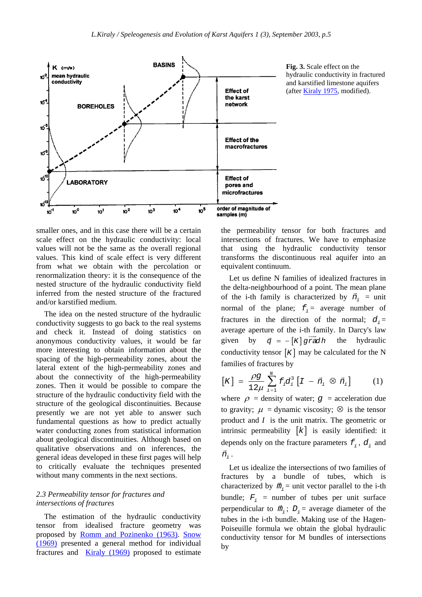

**Fig. 3.** Scale effect on the hydraulic conductivity in fractured and karstified limestone aquifers (after Kiraly 1975, modified).

smaller ones, and in this case there will be a certain scale effect on the hydraulic conductivity: local values will not be the same as the overall regional values. This kind of scale effect is very different from what we obtain with the percolation or renormalization theory: it is the consequence of the nested structure of the hydraulic conductivity field inferred from the nested structure of the fractured and/or karstified medium.

The idea on the nested structure of the hydraulic conductivity suggests to go back to the real systems and check it. Instead of doing statistics on anonymous conductivity values, it would be far more interesting to obtain information about the spacing of the high-permeability zones, about the lateral extent of the high-permeability zones and about the connectivity of the high-permeability zones. Then it would be possible to compare the structure of the hydraulic conductivity field with the structure of the geological discontinuities. Because presently we are not yet able to answer such fundamental questions as how to predict actually water conducting zones from statistical information about geological discontinuities. Although based on qualitative observations and on inferences, the general ideas developed in these first pages will help to critically evaluate the techniques presented without many comments in the next sections.

### *2.3 Permeability tensor for fractures and intersections of fractures*

The estimation of the hydraulic conductivity tensor from idealised fracture geometry was proposed by Romm and Pozinenko (1963). Snow (1969) presented a general method for individual fractures and Kiraly (1969) proposed to estimate the permeability tensor for both fractures and intersections of fractures. We have to emphasize that using the hydraulic conductivity tensor transforms the discontinuous real aquifer into an equivalent continuum.

Let us define N families of idealized fractures in the delta-neighbourhood of a point. The mean plane of the i-th family is characterized by  $\vec{n}_i$  = unit normal of the plane;  $f_i$  = average number of fractures in the direction of the normal;  $d_i =$ average aperture of the i-th family. In Darcy's law given by  $\vec{q} = -\begin{bmatrix} K \end{bmatrix} \vec{grad} h$  the hydraulic conductivity tensor  $[K]$  may be calculated for the N families of fractures by

$$
[K] = \frac{\rho g}{12\mu} \sum_{i=1}^{N} f_i d_i^3 [I - \vec{n}_i \otimes \vec{n}_i]
$$
 (1)

where  $\rho$  = density of water;  $q$  = acceleration due to gravity;  $\mu$  = dynamic viscosity;  $\otimes$  is the tensor product and *I* is the unit matrix. The geometric or intrinsic permeability  $[k]$  is easily identified: it depends only on the fracture parameters  $f_i$ ,  $d_i$  and  $\vec{n}_i$  .

Let us idealize the intersections of two families of fractures by a bundle of tubes, which is characterized by  $\vec{n}_i$  = unit vector parallel to the i-th bundle;  $F_i$  = number of tubes per unit surface perpendicular to  $\vec{m}_i$ ;  $D_i$  = average diameter of the tubes in the i-th bundle. Making use of the Hagen-Poiseuille formula we obtain the global hydraulic conductivity tensor for M bundles of intersections by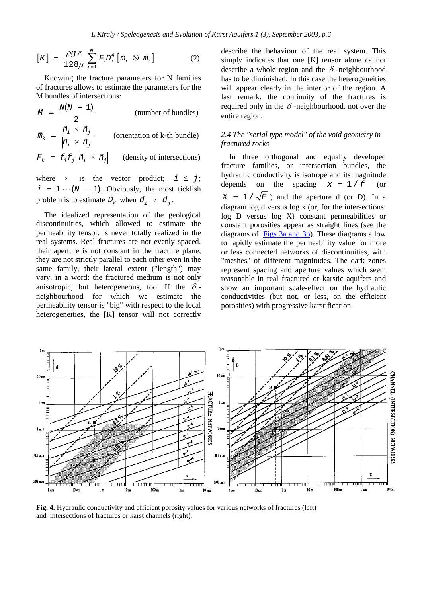$$
[K] = \frac{\rho g \pi}{128\mu} \sum_{i=1}^{M} F_i D_i^4 [\vec{m}_i \otimes \vec{m}_i]
$$
 (2)

Knowing the fracture parameters for N families of fractures allows to estimate the parameters for the M bundles of intersections:

 $I(N - 1)$ 2  $M = \frac{N(N-1)}{2}$  (number of bundles) *i j k i j*  $\vec{n}_{_{i}}$   $\times$   $\vec{n}$ *m*  $\vec{n}_k = \frac{\vec{n}_i \times \vec{n}_j}{\left|\vec{n}_i \times \vec{n}_j\right|}$  (orientation of k-th bundle)  $F_k = f_i f_j \left| \vec{n}_i \times \vec{n}_j \right|$  (density of intersections)

where  $\times$  is the vector product;  $i \leq j$ ;  $i = 1 \cdots (N - 1)$ . Obviously, the most ticklish problem is to estimate  $D_k$  when  $d_i \neq d_i$ .

The idealized representation of the geological discontinuities, which allowed to estimate the permeability tensor, is never totally realized in the real systems. Real fractures are not evenly spaced, their aperture is not constant in the fracture plane, they are not strictly parallel to each other even in the same family, their lateral extent ("length") may vary, in a word: the fractured medium is not only anisotropic, but heterogeneous, too. If the  $\delta$ neighbourhood for which we estimate the permeability tensor is "big" with respect to the local heterogeneities, the [K] tensor will not correctly describe the behaviour of the real system. This simply indicates that one [K] tensor alone cannot describe a whole region and the  $\delta$ -neighbourhood has to be diminished. In this case the heterogeneities will appear clearly in the interior of the region. A last remark: the continuity of the fractures is required only in the  $\delta$ -neighbourhood, not over the entire region.

### *2.4 The "serial type model" of the void geometry in fractured rocks*

In three orthogonal and equally developed fracture families, or intersection bundles, the hydraulic conductivity is isotrope and its magnitude depends on the spacing  $x = 1/f$  (or  $X = 1 / \sqrt{F}$  and the aperture d (or D). In a diagram log d versus log x (or, for the intersections: log D versus log X) constant permeabilities or constant porosities appear as straight lines (see the diagrams of Figs 3a and 3b). These diagrams allow to rapidly estimate the permeability value for more or less connected networks of discontinuities, with "meshes" of different magnitudes. The dark zones represent spacing and aperture values which seem reasonable in real fractured or karstic aquifers and show an important scale-effect on the hydraulic conductivities (but not, or less, on the efficient porosities) with progressive karstification.



**Fig. 4.** Hydraulic conductivity and efficient porosity values for various networks of fractures (left) and intersections of fractures or karst channels (right).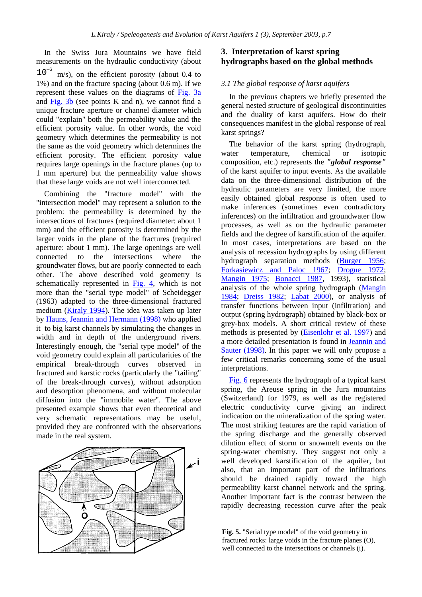In the Swiss Jura Mountains we have field measurements on the hydraulic conductivity (about  $10^{-6}$  m/s), on the efficient porosity (about 0.4 to 1%) and on the fracture spacing (about 0.6 m). If we represent these values on the diagrams of Fig. 3a and  $Fig. 3b$  (see points K and n), we cannot find a unique fracture aperture or channel diameter which could "explain" both the permeability value and the efficient porosity value. In other words, the void geometry which determines the permeability is not the same as the void geometry which determines the efficient porosity. The efficient porosity value requires large openings in the fracture planes (up to 1 mm aperture) but the permeability value shows that these large voids are not well interconnected.

Combining the "fracture model" with the "intersection model" may represent a solution to the problem: the permeability is determined by the intersections of fractures (required diameter: about 1 mm) and the efficient porosity is determined by the larger voids in the plane of the fractures (required aperture: about 1 mm). The large openings are well connected to the intersections where the groundwater flows, but are poorly connected to each other. The above described void geometry is schematically represented in Fig. 4, which is not more than the "serial type model" of Scheidegger (1963) adapted to the three-dimensional fractured medium (Kiraly 1994). The idea was taken up later by Hauns, Jeannin and Hermann (1998) who applied it to big karst channels by simulating the changes in width and in depth of the underground rivers. Interestingly enough, the "serial type model" of the void geometry could explain all particularities of the empirical break-through curves observed in fractured and karstic rocks (particularly the "tailing" of the break-through curves), without adsorption and desorption phenomena, and without molecular diffusion into the "immobile water". The above presented example shows that even theoretical and very schematic representations may be useful, provided they are confronted with the observations made in the real system.



# **3. Interpretation of karst spring hydrographs based on the global methods**

### *3.1 The global response of karst aquifers*

In the previous chapters we briefly presented the general nested structure of geological discontinuities and the duality of karst aquifers. How do their consequences manifest in the global response of real karst springs?

The behavior of the karst spring (hydrograph, water temperature, chemical or isotopic composition, etc.) represents the *"global response"*  of the karst aquifer to input events. As the available data on the three-dimensional distribution of the hydraulic parameters are very limited, the more easily obtained global response is often used to make inferences (sometimes even contradictory inferences) on the infiltration and groundwater flow processes, as well as on the hydraulic parameter fields and the degree of karstification of the aquifer. In most cases, interpretations are based on the analysis of recession hydrographs by using different hydrograph separation methods (Burger 1956; Forkasiewicz and Paloc 1967; Drogue 1972; Mangin 1975; Bonacci 1987, 1993), statistical analysis of the whole spring hydrograph (Mangin 1984; Dreiss 1982; Labat 2000), or analysis of transfer functions between input (infiltration) and output (spring hydrograph) obtained by black-box or grey-box models. A short critical review of these methods is presented by (Eisenlohr et al. 1997) and a more detailed presentation is found in Jeannin and Sauter (1998). In this paper we will only propose a few critical remarks concerning some of the usual interpretations.

Fig. 6 represents the hydrograph of a typical karst spring, the Areuse spring in the Jura mountains (Switzerland) for 1979, as well as the registered electric conductivity curve giving an indirect indication on the mineralization of the spring water. The most striking features are the rapid variation of the spring discharge and the generally observed dilution effect of storm or snowmelt events on the spring-water chemistry. They suggest not only a well developed karstification of the aquifer, but also, that an important part of the infiltrations should be drained rapidly toward the high permeability karst channel network and the spring. Another important fact is the contrast between the rapidly decreasing recession curve after the peak

**Fig. 5.** "Serial type model" of the void geometry in fractured rocks: large voids in the fracture planes (O), well connected to the intersections or channels (i).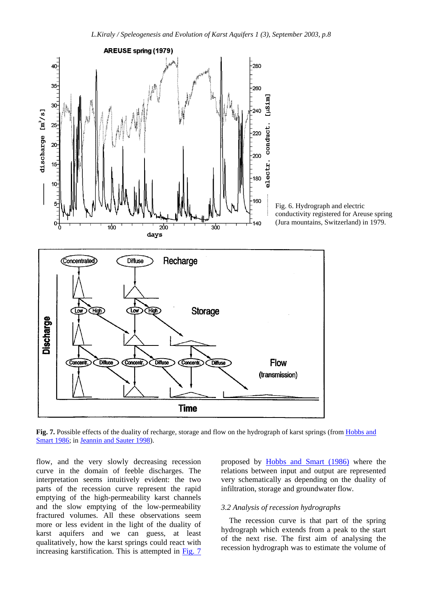

**Fig. 7.** Possible effects of the duality of recharge, storage and flow on the hydrograph of karst springs (from Hobbs and Smart 1986; in Jeannin and Sauter 1998).

flow, and the very slowly decreasing recession curve in the domain of feeble discharges. The interpretation seems intuitively evident: the two parts of the recession curve represent the rapid emptying of the high-permeability karst channels and the slow emptying of the low-permeability fractured volumes. All these observations seem more or less evident in the light of the duality of karst aquifers and we can guess, at least qualitatively, how the karst springs could react with increasing karstification. This is attempted in Fig. 7

proposed by Hobbs and Smart (1986) where the relations between input and output are represented very schematically as depending on the duality of infiltration, storage and groundwater flow.

### *3.2 Analysis of recession hydrographs*

The recession curve is that part of the spring hydrograph which extends from a peak to the start of the next rise. The first aim of analysing the recession hydrograph was to estimate the volume of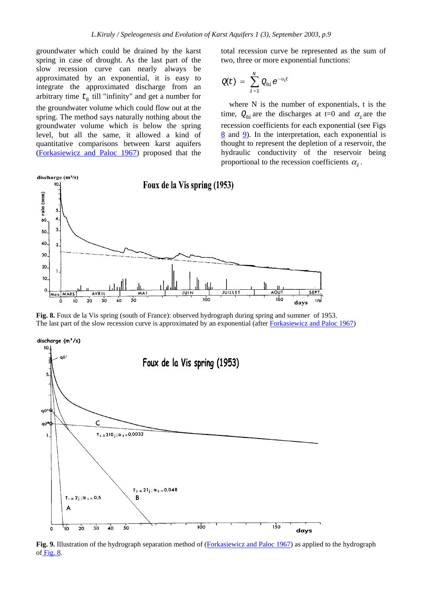groundwater which could be drained by the karst spring in case of drought. As the last part of the slow recession curve can nearly always be approximated by an exponential, it is easy to integrate the approximated discharge from an arbitrary time  $t_0$  till "infinity" and get a number for the groundwater volume which could flow out at the spring. The method says naturally nothing about the groundwater volume which is below the spring level, but all the same, it allowed a kind of quantitative comparisons between karst aquifers (Forkasiewicz and Paloc 1967) proposed that the

total recession curve be represented as the sum of two, three or more exponential functions:

$$
Q(t) = \sum_{i=1}^N Q_{0i} e^{-\alpha_i t}
$$

where N is the number of exponentials, t is the time,  $Q_{0i}$  are the discharges at t=0 and  $\alpha_i$  are the recession coefficients for each exponential (see Figs  $8$  and  $9$ ). In the interpretation, each exponential is thought to represent the depletion of a reservoir, the hydraulic conductivity of the reservoir being proportional to the recession coefficients  $\alpha_i$ .



**Fig. 8.** Foux de la Vis spring (south of France): observed hydrograph during spring and summer of 1953. The last part of the slow recession curve is approximated by an exponential (after Forkasiewicz and Paloc 1967)



**Fig. 9.** Illustration of the hydrograph separation method of (Forkasiewicz and Paloc 1967) as applied to the hydrograph of Fig.  $8$ .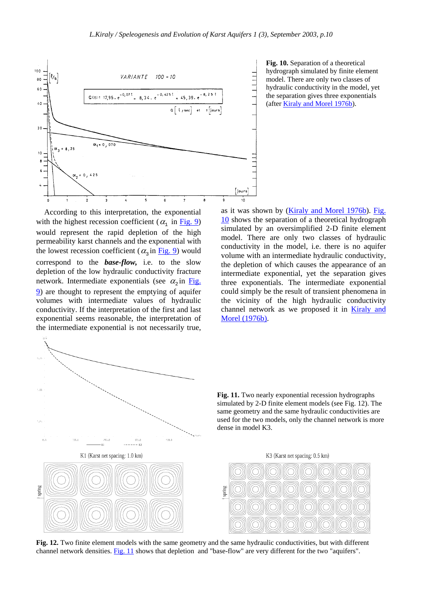

**Fig. 10.** Separation of a theoretical hydrograph simulated by finite element model. There are only two classes of hydraulic conductivity in the model, yet the separation gives three exponentials (after Kiraly and Morel 1976b).

According to this interpretation, the exponential with the highest recession coefficient ( $\alpha_1$  in Fig. 9) would represent the rapid depletion of the high permeability karst channels and the exponential with the lowest recession coefficient ( $\alpha_3$  in Fig. 9) would correspond to the *base-flow,* i.e. to the slow depletion of the low hydraulic conductivity fracture network. Intermediate exponentials (see  $\alpha$ <sub>2</sub> in Fig. 9) are thought to represent the emptying of aquifer volumes with intermediate values of hydraulic conductivity. If the interpretation of the first and last exponential seems reasonable, the interpretation of the intermediate exponential is not necessarily true,

as it was shown by (Kiraly and Morel 1976b). Fig. 10 shows the separation of a theoretical hydrograph simulated by an oversimplified 2-D finite element model. There are only two classes of hydraulic conductivity in the model, i.e. there is no aquifer volume with an intermediate hydraulic conductivity, the depletion of which causes the appearance of an intermediate exponential, yet the separation gives three exponentials. The intermediate exponential could simply be the result of transient phenomena in the vicinity of the high hydraulic conductivity channel network as we proposed it in **Kiraly and** Morel (1976b).



**Fig. 11.** Two nearly exponential recession hydrographs simulated by 2-D finite element models (see Fig. 12). The same geometry and the same hydraulic conductivities are used for the two models, only the channel network is more dense in model K3.





**Fig. 12.** Two finite element models with the same geometry and the same hydraulic conductivities, but with different channel network densities. Fig. 11 shows that depletion and "base-flow" are very different for the two "aquifers".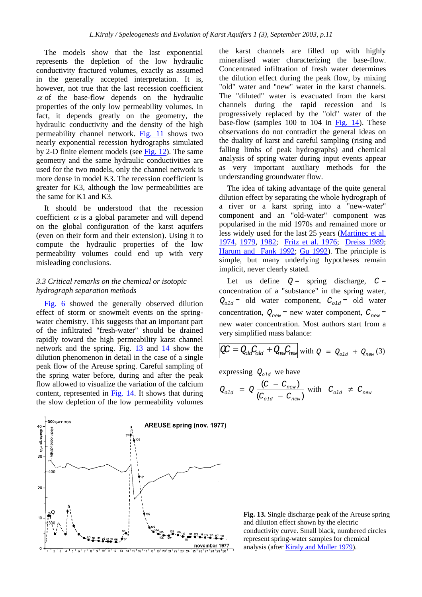The models show that the last exponential represents the depletion of the low hydraulic conductivity fractured volumes, exactly as assumed in the generally accepted interpretation. It is, however, not true that the last recession coefficient  $\alpha$  of the base-flow depends on the hydraulic properties of the only low permeability volumes. In fact, it depends greatly on the geometry, the hydraulic conductivity and the density of the high permeability channel network. Fig. 11 shows two nearly exponential recession hydrographs simulated by 2-D finite element models (see Fig. 12). The same geometry and the same hydraulic conductivities are used for the two models, only the channel network is more dense in model K3. The recession coefficient is greater for K3, although the low permeabilities are the same for K1 and K3.

It should be understood that the recession coefficient  $\alpha$  is a global parameter and will depend on the global configuration of the karst aquifers (even on their form and their extension). Using it to compute the hydraulic properties of the low permeability volumes could end up with very misleading conclusions.

### *3.3 Critical remarks on the chemical or isotopic hydrograph separation methods*

Fig. 6 showed the generally observed dilution effect of storm or snowmelt events on the springwater chemistry. This suggests that an important part of the infiltrated "fresh-water" should be drained rapidly toward the high permeability karst channel network and the spring. Fig. 13 and 14 show the dilution phenomenon in detail in the case of a single peak flow of the Areuse spring. Careful sampling of the spring water before, during and after the peak flow allowed to visualize the variation of the calcium content, represented in Fig. 14. It shows that during the slow depletion of the low permeability volumes

 $500:$ umhos **AREUSE spring (nov. 1977)** 40 discharge m<sup>3/s</sup> netiviti)  $30$  $40<sup>c</sup>$  $\alpha$ november 1977 13 14 15 16 17 18 19 20 21

the karst channels are filled up with highly mineralised water characterizing the base-flow. Concentrated infiltration of fresh water determines the dilution effect during the peak flow, by mixing "old" water and "new" water in the karst channels. The "diluted" water is evacuated from the karst channels during the rapid recession and is progressively replaced by the "old" water of the base-flow (samples 100 to 104 in Fig. 14). These observations do not contradict the general ideas on the duality of karst and careful sampling (rising and falling limbs of peak hydrographs) and chemical analysis of spring water during input events appear as very important auxiliary methods for the understanding groundwater flow.

The idea of taking advantage of the quite general dilution effect by separating the whole hydrograph of a river or a karst spring into a "new-water" component and an "old-water" component was popularised in the mid 1970s and remained more or less widely used for the last 25 years (Martinec et al. 1974, 1979, 1982; Fritz et al. 1976; Dreiss 1989; Harum and Fank 1992; Gu 1992). The principle is simple, but many underlying hypotheses remain implicit, never clearly stated.

Let us define  $Q =$  spring discharge,  $C =$ concentration of a "substance" in the spring water,  $Q_{old}$  = old water component,  $C_{old}$  = old water concentration,  $Q_{new}$  = new water component,  $C_{new}$  = new water concentration. Most authors start from a very simplified mass balance:

$$
\mathcal{Q}C = Q_{old}C_{old} + Q_{new}C_{new} \text{ with } Q = Q_{old} + Q_{new} (3)
$$

expressing  $Q_{old}$  we have

$$
Q_{\text{old}} = Q \frac{(C - C_{\text{new}})}{(C_{\text{old}} - C_{\text{new}})} \text{ with } C_{\text{old}} \neq C_{\text{new}}
$$

**Fig. 13.** Single discharge peak of the Areuse spring and dilution effect shown by the electric conductivity curve. Small black, numbered circles represent spring-water samples for chemical analysis (after Kiraly and Muller 1979).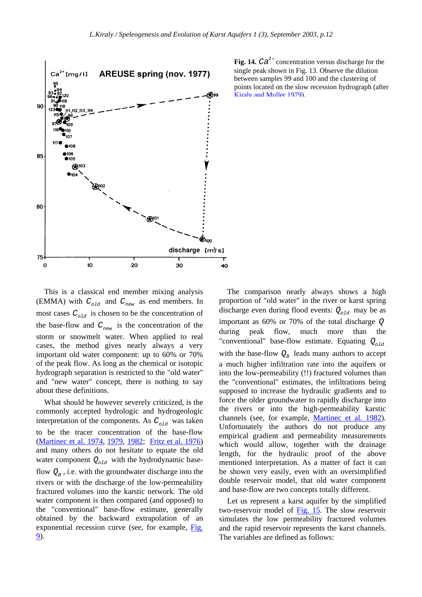

**Fig. 14.**  $Ca^{2+}$  concentration versus discharge for the single peak shown in Fig. 13. Observe the dilution between samples 99 and 100 and the clustering of points located on the slow recession hydrograph (after Kiraly and Muller 1979).

This is a classical end member mixing analysis (EMMA) with  $C_{old}$  and  $C_{new}$  as end members. In most cases  $C_{old}$  is chosen to be the concentration of the base-flow and  $C_{new}$  is the concentration of the storm or snowmelt water. When applied to real cases, the method gives nearly always a very important old water component: up to 60% or 70% of the peak flow. As long as the chemical or isotopic hydrograph separation is restricted to the "old water" and "new water" concept, there is nothing to say about these definitions.

What should be however severely criticized, is the commonly accepted hydrologic and hydrogeologic interpretation of the components. As  $C_{old}$  was taken to be the tracer concentration of the base-flow (Martinec et al. 1974, 1979, 1982; Fritz et al. 1976) and many others do not hesitate to equate the old water component  $Q_{old}$  with the hydrodynamic baseflow  $Q_{\text{B}}$ , i.e. with the groundwater discharge into the rivers or with the discharge of the low-permeability fractured volumes into the karstic network. The old water component is then compared (and opposed) to the "conventional" base-flow estimate, generally obtained by the backward extrapolation of an exponential recession curve (see, for example, Fig. 9).

The comparison nearly always shows a high proportion of "old water" in the river or karst spring discharge even during flood events:  $Q_{old}$  may be as important as 60% or 70% of the total discharge *Q* during peak flow, much more than the "conventional" base-flow estimate. Equating  $Q_{old}$ with the base-flow  $Q_B$  leads many authors to accept a much higher infiltration rate into the aquifers or into the low-permeability (!!) fractured volumes than the "conventional" estimates, the infiltrations being supposed to increase the hydraulic gradients and to force the older groundwater to rapidly discharge into the rivers or into the high-permeability karstic channels (see, for example, Martinec et al. 1982). Unfortunately the authors do not produce any empirical gradient and permeability measurements which would allow, together with the drainage length, for the hydraulic proof of the above mentioned interpretation. As a matter of fact it can be shown very easily, even with an oversimplified double reservoir model, that old water component and base-flow are two concepts totally different.

Let us represent a karst aquifer by the simplified two-reservoir model of Fig. 15. The slow reservoir simulates the low permeability fractured volumes and the rapid reservoir represents the karst channels. The variables are defined as follows: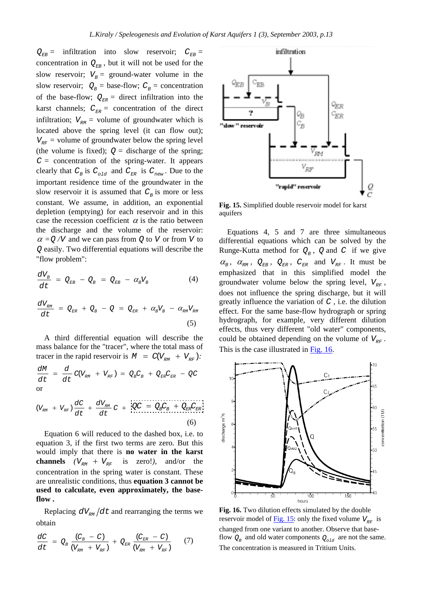$Q_{EB}$  = infiltration into slow reservoir;  $C_{EB}$  = concentration in  $Q_{EB}$ , but it will not be used for the slow reservoir;  $V<sub>B</sub>$  = ground-water volume in the slow reservoir;  $Q_B$  = base-flow;  $C_B$  = concentration of the base-flow;  $Q_{ER}$  = direct infiltration into the karst channels;  $C_{ER}$  = concentration of the direct infiltration;  $V_{\nu M}$  = volume of groundwater which is located above the spring level (it can flow out);  $V_{RF}$  = volume of groundwater below the spring level (the volume is fixed);  $Q =$  discharge of the spring;  $C =$  concentration of the spring-water. It appears clearly that  $C_B$  is  $C_{old}$  and  $C_{ER}$  is  $C_{new}$ . Due to the important residence time of the groundwater in the slow reservoir it is assumed that  $C_B$  is more or less constant. We assume, in addition, an exponential depletion (emptying) for each reservoir and in this case the recession coefficient  $\alpha$  is the ratio between the discharge and the volume of the reservoir:  $\alpha = Q/V$  and we can pass from *Q* to *V* or from *V* to *Q* easily. Two differential equations will describe the "flow problem":

$$
\frac{dV_B}{dt} = Q_{EB} - Q_B = Q_{EB} - \alpha_B V_B \tag{4}
$$

$$
\frac{dV_{RM}}{dt} = Q_{ER} + Q_B - Q = Q_{ER} + \alpha_B V_B - \alpha_{RM} V_{RM}
$$
\n(5)

A third differential equation will describe the mass balance for the "tracer", where the total mass of tracer in the rapid reservoir is  $M = C(V_{\text{RM}} + V_{\text{RF}})$ :  $\frac{dM}{dt} = \frac{d}{dt} C(V_{_{RM}} + V_{_{RF}}) = Q_{B}C_{_{B}} + Q_{_{ER}}C_{_{ER}} - QC_{_{RF}}$  $=$   $\frac{u}{m} C(V_{_{\scriptscriptstyle{DM}}} + V_{_{\scriptscriptstyle{DF}}}) = Q_{_{\scriptscriptstyle{B}}} C_{_{\scriptscriptstyle{B}}} + Q_{_{\scriptscriptstyle{FD}}} C_{_{\scriptscriptstyle{FD}}} -$ 

$$
\frac{dt}{dt} \frac{dt}{dt} \left( \frac{1}{k} \sum_{r} \frac{1}{k} \sum_{r} \frac{1}{k} \sum_{r} \frac{1}{k} \sum_{r} \frac{1}{k} \sum_{r} \frac{1}{k} \sum_{r} \frac{1}{k} \sum_{r} \frac{1}{k} \sum_{r} \frac{1}{k} \sum_{r} \frac{1}{k} \sum_{r} \frac{1}{k} \sum_{r} \frac{1}{k} \sum_{r} \frac{1}{k} \sum_{r} \frac{1}{k} \sum_{r} \frac{1}{k} \sum_{r} \frac{1}{k} \sum_{r} \frac{1}{k} \sum_{r} \frac{1}{k} \sum_{r} \frac{1}{k} \sum_{r} \frac{1}{k} \sum_{r} \frac{1}{k} \sum_{r} \frac{1}{k} \sum_{r} \frac{1}{k} \sum_{r} \frac{1}{k} \sum_{r} \frac{1}{k} \sum_{r} \frac{1}{k} \sum_{r} \frac{1}{k} \sum_{r} \frac{1}{k} \sum_{r} \frac{1}{k} \sum_{r} \frac{1}{k} \sum_{r} \frac{1}{k} \sum_{r} \frac{1}{k} \sum_{r} \frac{1}{k} \sum_{r} \frac{1}{k} \sum_{r} \frac{1}{k} \sum_{r} \frac{1}{k} \sum_{r} \frac{1}{k} \sum_{r} \frac{1}{k} \sum_{r} \frac{1}{k} \sum_{r} \frac{1}{k} \sum_{r} \frac{1}{k} \sum_{r} \frac{1}{k} \sum_{r} \frac{1}{k} \sum_{r} \frac{1}{k} \sum_{r} \frac{1}{k} \sum_{r} \frac{1}{k} \sum_{r} \frac{1}{k} \sum_{r} \frac{1}{k} \sum_{r} \frac{1}{k} \sum_{r} \frac{1}{k} \sum_{r} \frac{1}{k} \sum_{r} \frac{1}{k} \sum_{r} \frac{1}{k} \sum_{r} \frac{1}{k} \sum_{r} \frac{1}{k} \sum_{r} \frac{1}{k} \sum_{r} \frac{1}{k} \sum_{r} \frac{1}{k} \sum_{r} \frac{1}{k} \sum_{r} \frac{1}{k} \sum_{r} \frac{1}{k} \sum_{r} \frac{1}{k} \sum_{r
$$

$$
(V_{RM} + V_{RF}) \frac{dC}{dt} + \frac{dV_{RM}}{dt}C + \frac{QC}{C} = Q_{B}C_{B} + Q_{ER}C_{ER}
$$
\n(6)

Equation 6 will reduced to the dashed box, i.e. to equation 3, if the first two terms are zero. But this would imply that there is **no water in the karst channels**  $(V_{RM} + V_{RF}$  is zero!), and/or the concentration in the spring water is constant. These are unrealistic conditions, thus **equation 3 cannot be used to calculate, even approximately, the baseflow .** 

Replacing  $dV_{\nu M}/dt$  and rearranging the terms we obtain

$$
\frac{dC}{dt} = Q_B \frac{(C_B - C)}{(V_{\text{RM}} + V_{\text{RF}})} + Q_{\text{ER}} \frac{(C_{\text{ER}} - C)}{(V_{\text{RM}} + V_{\text{RF}})}
$$
(7)



**Fig. 15.** Simplified double reservoir model for karst aquifers

Equations 4, 5 and 7 are three simultaneous differential equations which can be solved by the Runge-Kutta method for  $Q_B$ , Q and C if we give  $\alpha_{\text{B}}$ ,  $\alpha_{\text{RM}}$ ,  $\mathcal{Q}_{\text{EB}}$ ,  $\mathcal{Q}_{\text{ER}}$ ,  $C_{\text{ER}}$  and  $V_{\text{RF}}$ . It must be emphasized that in this simplified model the groundwater volume below the spring level,  $V_{RF}$ , does not influence the spring discharge, but it will greatly influence the variation of *C ,* i.e. the dilution effect. For the same base-flow hydrograph or spring hydrograph, for example, very different dilution effects, thus very different "old water" components, could be obtained depending on the volume of  $V_{RF}$ . This is the case illustrated in Fig. 16.



**Fig. 16.** Two dilution effects simulated by the double reservoir model of  $\underline{Fig. 15}$ : only the fixed volume  $V_{\text{pr}}$  is changed from one variant to another. Observe that baseflow  $Q_B$  and old water components  $Q_{old}$  are not the same. The concentration is measured in Tritium Units.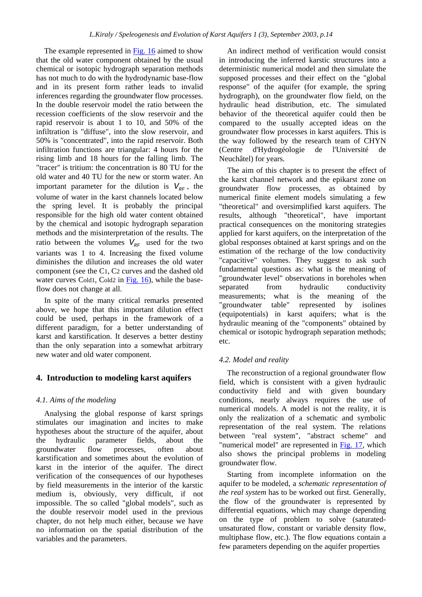The example represented in Fig. 16 aimed to show that the old water component obtained by the usual chemical or isotopic hydrograph separation methods has not much to do with the hydrodynamic base-flow and in its present form rather leads to invalid inferences regarding the groundwater flow processes. In the double reservoir model the ratio between the recession coefficients of the slow reservoir and the rapid reservoir is about 1 to 10, and 50% of the infiltration is "diffuse", into the slow reservoir, and 50% is "concentrated", into the rapid reservoir. Both infiltration functions are triangular: 4 hours for the rising limb and 18 hours for the falling limb. The "tracer" is tritium: the concentration is 80 TU for the old water and 40 TU for the new or storm water. An important parameter for the dilution is  $V_{\text{pr}}$ , the volume of water in the karst channels located below the spring level. It is probably the principal responsible for the high old water content obtained by the chemical and isotopic hydrograph separation methods and the misinterpretation of the results. The ratio between the volumes  $V_{RF}$  used for the two variants was 1 to 4. Increasing the fixed volume diminishes the dilution and increases the old water component (see the C1, C2 curves and the dashed old water curves Cold1, Cold2 in Fig. 16), while the baseflow does not change at all.

In spite of the many critical remarks presented above, we hope that this important dilution effect could be used, perhaps in the framework of a different paradigm, for a better understanding of karst and karstification. It deserves a better destiny than the only separation into a somewhat arbitrary new water and old water component.

# **4. Introduction to modeling karst aquifers**

### *4.1. Aims of the modeling*

Analysing the global response of karst springs stimulates our imagination and incites to make hypotheses about the structure of the aquifer, about the hydraulic parameter fields, about the groundwater flow processes, often about karstification and sometimes about the evolution of karst in the interior of the aquifer. The direct verification of the consequences of our hypotheses by field measurements in the interior of the karstic medium is, obviously, very difficult, if not impossible. The so called "global models", such as the double reservoir model used in the previous chapter, do not help much either, because we have no information on the spatial distribution of the variables and the parameters.

An indirect method of verification would consist in introducing the inferred karstic structures into a deterministic numerical model and then simulate the supposed processes and their effect on the "global response" of the aquifer (for example, the spring hydrograph), on the groundwater flow field, on the hydraulic head distribution, etc. The simulated behavior of the theoretical aquifer could then be compared to the usually accepted ideas on the groundwater flow processes in karst aquifers. This is the way followed by the research team of CHYN (Centre d'Hydrogéologie de l'Université de Neuchâtel) for years.

The aim of this chapter is to present the effect of the karst channel network and the epikarst zone on groundwater flow processes, as obtained by numerical finite element models simulating a few "theoretical" and oversimplified karst aquifers. The results, although "theoretical", have important practical consequences on the monitoring strategies applied for karst aquifers, on the interpretation of the global responses obtained at karst springs and on the estimation of the recharge of the low conductivity "capacitive" volumes. They suggest to ask such fundamental questions as: what is the meaning of "groundwater level" observations in boreholes when separated from hydraulic conductivity measurements; what is the meaning of the "groundwater table" represented by isolines (equipotentials) in karst aquifers; what is the hydraulic meaning of the "components" obtained by chemical or isotopic hydrograph separation methods; etc.

### *4.2. Model and reality*

The reconstruction of a regional groundwater flow field, which is consistent with a given hydraulic conductivity field and with given boundary conditions, nearly always requires the use of numerical models. A model is not the reality, it is only the realization of a schematic and symbolic representation of the real system. The relations between "real system", "abstract scheme" and "numerical model" are represented in Fig. 17, which also shows the principal problems in modeling groundwater flow.

Starting from incomplete information on the aquifer to be modeled, a *schematic representation of the real system* has to be worked out first. Generally, the flow of the groundwater is represented by differential equations, which may change depending on the type of problem to solve (saturatedunsaturated flow, constant or variable density flow, multiphase flow, etc.). The flow equations contain a few parameters depending on the aquifer properties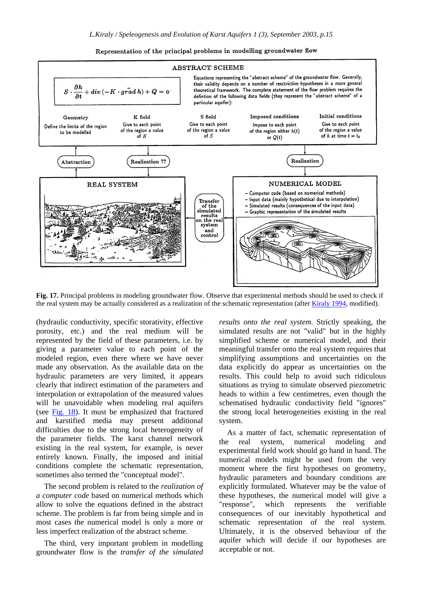



**Fig. 17.** Principal problems in modeling groundwater flow. Observe that experimental methods should be used to check if the real system may be actually considered as a realization of the schematic representation (after Kiraly 1994, modified).

(hydraulic conductivity, specific storativity, effective porosity, etc.) and the real medium will be represented by the field of these parameters, i.e. by giving a parameter value to each point of the modeled region, even there where we have never made any observation. As the available data on the hydraulic parameters are very limited, it appears clearly that indirect estimation of the parameters and interpolation or extrapolation of the measured values will be unavoidable when modeling real aquifers (see Fig. 18). It must be emphasized that fractured and karstified media may present additional difficulties due to the strong local heterogeneity of the parameter fields. The karst channel network existing in the real system, for example, is never entirely known. Finally, the imposed and initial conditions complete the schematic representation, sometimes also termed the "conceptual model".

The second problem is related to the *realization of a computer code* based on numerical methods which allow to solve the equations defined in the abstract scheme. The problem is far from being simple and in most cases the numerical model is only a more or less imperfect realization of the abstract scheme.

The third, very important problem in modelling groundwater flow is the *transfer of the simulated*  *results onto the real system*. Strictly speaking, the simulated results are not "valid" but in the highly simplified scheme or numerical model, and their meaningful transfer onto the real system requires that simplifying assumptions and uncertainties on the data explicitly do appear as uncertainties on the results. This could help to avoid such ridiculous situations as trying to simulate observed piezometric heads to within a few centimetres, even though the schematised hydraulic conductivity field "ignores" the strong local heterogeneities existing in the real system.

As a matter of fact, schematic representation of the real system, numerical modeling and experimental field work should go hand in hand. The numerical models might be used from the very moment where the first hypotheses on geometry, hydraulic parameters and boundary conditions are explicitly formulated. Whatever may be the value of these hypotheses, the numerical model will give a "response", which represents the verifiable consequences of our inevitably hypothetical and schematic representation of the real system. Ultimately, it is the observed behaviour of the aquifer which will decide if our hypotheses are acceptable or not.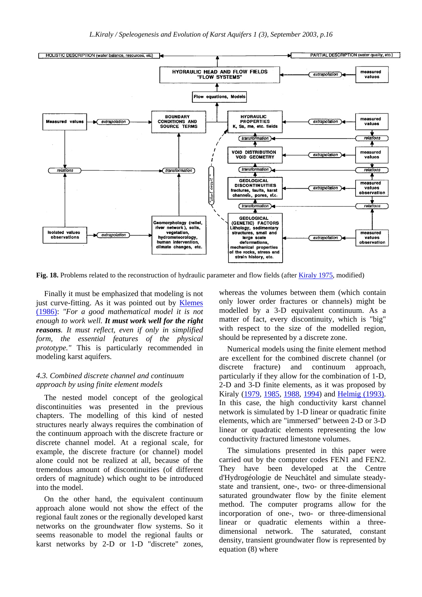

**Fig. 18.** Problems related to the reconstruction of hydraulic parameter and flow fields (after Kiraly 1975, modified)

Finally it must be emphasized that modeling is not just curve-fitting. As it was pointed out by **Klemes** (1986): *"For a good mathematical model it is not enough to work well. It must work well for the right reasons. It must reflect, even if only in simplified form, the essential features of the physical prototype."* This is particularly recommended in modeling karst aquifers.

### *4.3. Combined discrete channel and continuum approach by using finite element models*

The nested model concept of the geological discontinuities was presented in the previous chapters. The modelling of this kind of nested structures nearly always requires the combination of the continuum approach with the discrete fracture or discrete channel model. At a regional scale, for example, the discrete fracture (or channel) model alone could not be realized at all, because of the tremendous amount of discontinuities (of different orders of magnitude) which ought to be introduced into the model.

On the other hand, the equivalent continuum approach alone would not show the effect of the regional fault zones or the regionally developed karst networks on the groundwater flow systems. So it seems reasonable to model the regional faults or karst networks by 2-D or 1-D "discrete" zones,

whereas the volumes between them (which contain only lower order fractures or channels) might be modelled by a 3-D equivalent continuum. As a matter of fact, every discontinuity, which is "big" with respect to the size of the modelled region, should be represented by a discrete zone.

Numerical models using the finite element method are excellent for the combined discrete channel (or discrete fracture) and continuum approach, particularly if they allow for the combination of 1-D, 2-D and 3-D finite elements, as it was proposed by Kiraly (1979, 1985, 1988, 1994) and Helmig (1993). In this case, the high conductivity karst channel network is simulated by 1-D linear or quadratic finite elements, which are "immersed" between 2-D or 3-D linear or quadratic elements representing the low conductivity fractured limestone volumes.

The simulations presented in this paper were carried out by the computer codes FEN1 and FEN2. They have been developed at the Centre d'Hydrogéologie de Neuchâtel and simulate steadystate and transient, one-, two- or three-dimensional saturated groundwater flow by the finite element method. The computer programs allow for the incorporation of one-, two- or three-dimensional linear or quadratic elements within a threedimensional network. The saturated, constant density, transient groundwater flow is represented by equation (8) where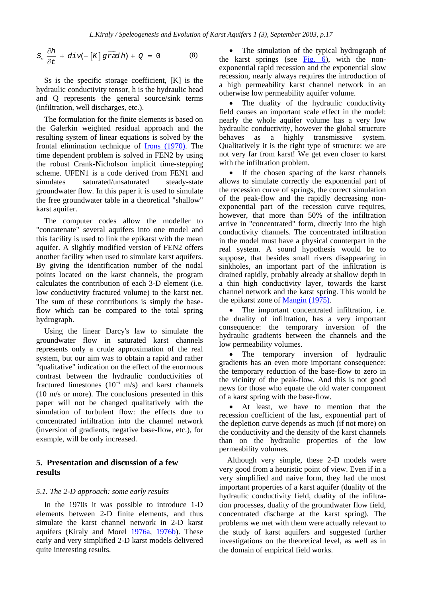$$
S_s \frac{\partial h}{\partial t} + \text{div}(-\left[K\right] \overrightarrow{\text{grad}} h) + Q = 0 \tag{8}
$$

Ss is the specific storage coefficient, [K] is the hydraulic conductivity tensor, h is the hydraulic head and Q represents the general source/sink terms (infiltration, well discharges, etc.).

The formulation for the finite elements is based on the Galerkin weighted residual approach and the resulting system of linear equations is solved by the frontal elimination technique of Irons (1970). The time dependent problem is solved in FEN2 by using the robust Crank-Nicholson implicit time-stepping scheme. UFEN1 is a code derived from FEN1 and simulates saturated/unsaturated steady-state groundwater flow. In this paper it is used to simulate the free groundwater table in a theoretical "shallow" karst aquifer.

The computer codes allow the modeller to "concatenate" several aquifers into one model and this facility is used to link the epikarst with the mean aquifer. A slightly modified version of FEN2 offers another facility when used to simulate karst aquifers. By giving the identification number of the nodal points located on the karst channels, the program calculates the contribution of each 3-D element (i.e. low conductivity fractured volume) to the karst net. The sum of these contributions is simply the baseflow which can be compared to the total spring hydrograph.

Using the linear Darcy's law to simulate the groundwater flow in saturated karst channels represents only a crude approximation of the real system, but our aim was to obtain a rapid and rather "qualitative" indication on the effect of the enormous contrast between the hydraulic conductivities of fractured limestones  $(10^{-6} \text{ m/s})$  and karst channels (10 m/s or more). The conclusions presented in this paper will not be changed qualitatively with the simulation of turbulent flow: the effects due to concentrated infiltration into the channel network (inversion of gradients, negative base-flow, etc.), for example, will be only increased.

## **5. Presentation and discussion of a few results**

#### *5.1. The 2-D approach: some early results*

In the 1970s it was possible to introduce 1-D elements between 2-D finite elements, and thus simulate the karst channel network in 2-D karst aquifers (Kiraly and Morel 1976a, 1976b). These early and very simplified 2-D karst models delivered quite interesting results.

The simulation of the typical hydrograph of the karst springs (see Fig. 6), with the nonexponential rapid recession and the exponential slow recession, nearly always requires the introduction of a high permeability karst channel network in an otherwise low permeability aquifer volume.

The duality of the hydraulic conductivity field causes an important scale effect in the model: nearly the whole aquifer volume has a very low hydraulic conductivity, however the global structure behaves as a highly transmissive system. Qualitatively it is the right type of structure: we are not very far from karst! We get even closer to karst with the infiltration problem.

If the chosen spacing of the karst channels allows to simulate correctly the exponential part of the recession curve of springs, the correct simulation of the peak-flow and the rapidly decreasing nonexponential part of the recession curve requires, however, that more than 50% of the infiltration arrive in "concentrated" form, directly into the high conductivity channels. The concentrated infiltration in the model must have a physical counterpart in the real system. A sound hypothesis would be to suppose, that besides small rivers disappearing in sinkholes, an important part of the infiltration is drained rapidly, probably already at shallow depth in a thin high conductivity layer, towards the karst channel network and the karst spring. This would be the epikarst zone of Mangin (1975).

The important concentrated infiltration, *i.e.* the duality of infiltration, has a very important consequence: the temporary inversion of the hydraulic gradients between the channels and the low permeability volumes.

The temporary inversion of hydraulic gradients has an even more important consequence: the temporary reduction of the base-flow to zero in the vicinity of the peak-flow. And this is not good news for those who equate the old water component of a karst spring with the base-flow.

At least, we have to mention that the recession coefficient of the last, exponential part of the depletion curve depends as much (if not more) on the conductivity and the density of the karst channels than on the hydraulic properties of the low permeability volumes.

Although very simple, these 2-D models were very good from a heuristic point of view. Even if in a very simplified and naive form, they had the most important properties of a karst aquifer (duality of the hydraulic conductivity field, duality of the infiltration processes, duality of the groundwater flow field, concentrated discharge at the karst spring). The problems we met with them were actually relevant to the study of karst aquifers and suggested further investigations on the theoretical level, as well as in the domain of empirical field works.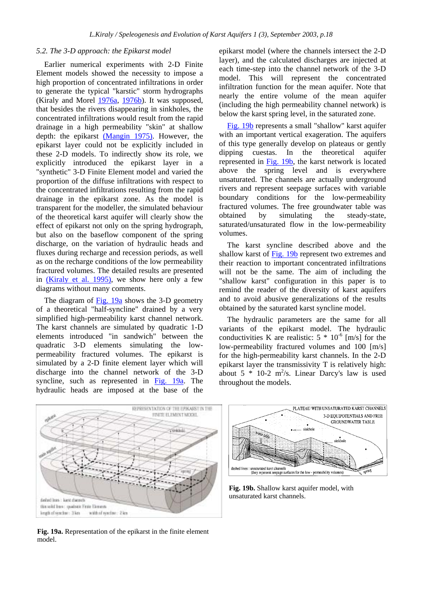#### *5.2. The 3-D approach: the Epikarst model*

Earlier numerical experiments with 2-D Finite Element models showed the necessity to impose a high proportion of concentrated infiltrations in order to generate the typical "karstic" storm hydrographs (Kiraly and Morel 1976a, 1976b). It was supposed, that besides the rivers disappearing in sinkholes, the concentrated infiltrations would result from the rapid drainage in a high permeability "skin" at shallow depth: the epikarst (Mangin 1975). However, the epikarst layer could not be explicitly included in these 2-D models. To indirectly show its role, we explicitly introduced the epikarst layer in a "synthetic" 3-D Finite Element model and varied the proportion of the diffuse infiltrations with respect to the concentrated infiltrations resulting from the rapid drainage in the epikarst zone. As the model is transparent for the modeller, the simulated behaviour of the theoretical karst aquifer will clearly show the effect of epikarst not only on the spring hydrograph, but also on the baseflow component of the spring discharge, on the variation of hydraulic heads and fluxes during recharge and recession periods, as well as on the recharge conditions of the low permeability fractured volumes. The detailed results are presented in (Kiraly et al. 1995), we show here only a few diagrams without many comments.

The diagram of Fig. 19a shows the 3-D geometry of a theoretical "half-syncline" drained by a very simplified high-permeability karst channel network. The karst channels are simulated by quadratic 1-D elements introduced "in sandwich" between the quadratic 3-D elements simulating the lowpermeability fractured volumes. The epikarst is simulated by a 2-D finite element layer which will discharge into the channel network of the 3-D syncline, such as represented in Fig. 19a. The hydraulic heads are imposed at the base of the

epikarst model (where the channels intersect the 2-D layer), and the calculated discharges are injected at each time-step into the channel network of the 3-D model. This will represent the concentrated infiltration function for the mean aquifer. Note that nearly the entire volume of the mean aquifer (including the high permeability channel network) is below the karst spring level, in the saturated zone.

Fig. 19b represents a small "shallow" karst aquifer with an important vertical exageration. The aquifers of this type generally develop on plateaus or gently dipping cuestas. In the theoretical aquifer represented in Fig. 19b, the karst network is located above the spring level and is everywhere unsaturated. The channels are actually underground rivers and represent seepage surfaces with variable boundary conditions for the low-permeability fractured volumes. The free groundwater table was obtained by simulating the steady-state, saturated/unsaturated flow in the low-permeability volumes.

The karst syncline described above and the shallow karst of Fig. 19b represent two extremes and their reaction to important concentrated infiltrations will not be the same. The aim of including the "shallow karst" configuration in this paper is to remind the reader of the diversity of karst aquifers and to avoid abusive generalizations of the results obtained by the saturated karst syncline model.

The hydraulic parameters are the same for all variants of the epikarst model. The hydraulic conductivities K are realistic:  $5 * 10^{-6}$  [m/s] for the low-permeability fractured volumes and 100 [m/s] for the high-permeability karst channels. In the 2-D epikarst layer the transmissivity T is relatively high: about  $5 * 10-2$  m<sup>2</sup>/s. Linear Darcy's law is used throughout the models.



PLATEAU WITH UNSATURATED KARST CHANNELS 3-D EQUIPOTENTIALS AND FREE **GROUNDWATER TABLE** sinkhole sinkhole dashed lines : unsaturated karst channels<br>(they represent seepage surfaces for the low - permeability volumes)

**Fig. 19b.** Shallow karst aquifer model, with unsaturated karst channels.

**Fig. 19a.** Representation of the epikarst in the finite element model.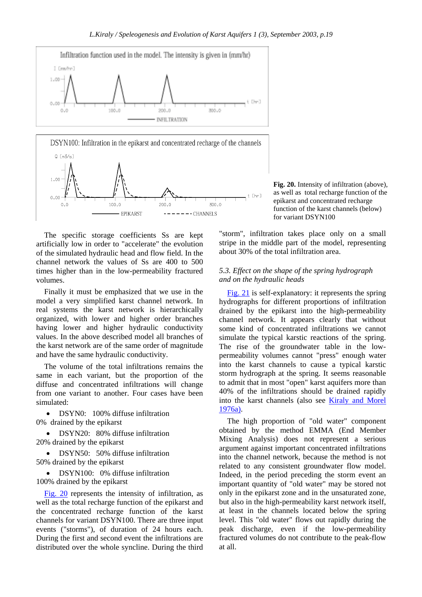



The specific storage coefficients Ss are kept artificially low in order to "accelerate" the evolution of the simulated hydraulic head and flow field. In the channel network the values of Ss are 400 to 500 times higher than in the low-permeability fractured volumes.

Finally it must be emphasized that we use in the model a very simplified karst channel network. In real systems the karst network is hierarchically organized, with lower and higher order branches having lower and higher hydraulic conductivity values. In the above described model all branches of the karst network are of the same order of magnitude and have the same hydraulic conductivity.

The volume of the total infiltrations remains the same in each variant, but the proportion of the diffuse and concentrated infiltrations will change from one variant to another. Four cases have been simulated:

DSYN0: 100% diffuse infiltration 0% drained by the epikarst

• DSYN20: 80% diffuse infiltration 20% drained by the epikarst

• DSYN50: 50% diffuse infiltration 50% drained by the epikarst

• DSYN100: 0% diffuse infiltration 100% drained by the epikarst

Fig. 20 represents the intensity of infiltration, as well as the total recharge function of the epikarst and the concentrated recharge function of the karst channels for variant DSYN100. There are three input events ("storms"), of duration of 24 hours each. During the first and second event the infiltrations are distributed over the whole syncline. During the third **Fig. 20.** Intensity of infiltration (above), as well as total recharge function of the epikarst and concentrated recharge function of the karst channels (below) for variant DSYN100

"storm", infiltration takes place only on a small stripe in the middle part of the model, representing about 30% of the total infiltration area.

### *5.3. Effect on the shape of the spring hydrograph and on the hydraulic heads*

Fig. 21 is self-explanatory: it represents the spring hydrographs for different proportions of infiltration drained by the epikarst into the high-permeability channel network. It appears clearly that without some kind of concentrated infiltrations we cannot simulate the typical karstic reactions of the spring. The rise of the groundwater table in the lowpermeability volumes cannot "press" enough water into the karst channels to cause a typical karstic storm hydrograph at the spring. It seems reasonable to admit that in most "open" karst aquifers more than 40% of the infiltrations should be drained rapidly into the karst channels (also see Kiraly and Morel 1976a).

The high proportion of "old water" component obtained by the method EMMA (End Member Mixing Analysis) does not represent a serious argument against important concentrated infiltrations into the channel network, because the method is not related to any consistent groundwater flow model. Indeed, in the period preceding the storm event an important quantity of "old water" may be stored not only in the epikarst zone and in the unsaturated zone, but also in the high-permeability karst network itself, at least in the channels located below the spring level. This "old water" flows out rapidly during the peak discharge, even if the low-permeability fractured volumes do not contribute to the peak-flow at all.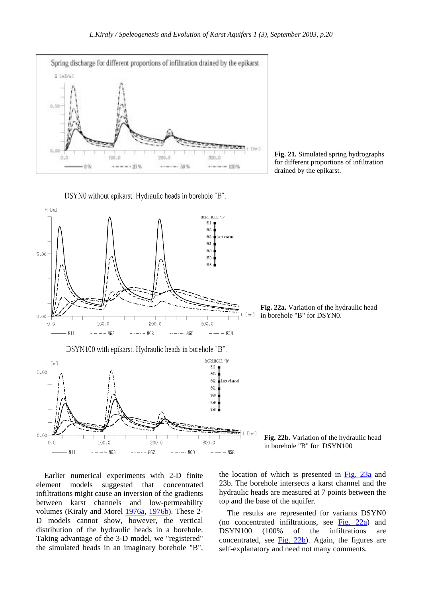

**Fig. 21.** Simulated spring hydrographs for different proportions of infiltration drained by the epikarst.

DSYN0 without epikarst. Hydraulic heads in borehole "B".



**Fig. 22a.** Variation of the hydraulic head in borehole "B" for DSYN0.

**Fig. 22b.** Variation of the hydraulic head in borehole "B" for DSYN100

Earlier numerical experiments with 2-D finite element models suggested that concentrated infiltrations might cause an inversion of the gradients between karst channels and low-permeability volumes (Kiraly and Morel 1976a, 1976b). These 2- D models cannot show, however, the vertical distribution of the hydraulic heads in a borehole. Taking advantage of the 3-D model, we "registered" the simulated heads in an imaginary borehole "B", the location of which is presented in Fig. 23a and 23b. The borehole intersects a karst channel and the hydraulic heads are measured at 7 points between the top and the base of the aquifer.

The results are represented for variants DSYN0 (no concentrated infiltrations, see  $Fig. 22a$ ) and DSYN100 (100% of the infiltrations are concentrated, see  $Fig. 22b$ ). Again, the figures are self-explanatory and need not many comments.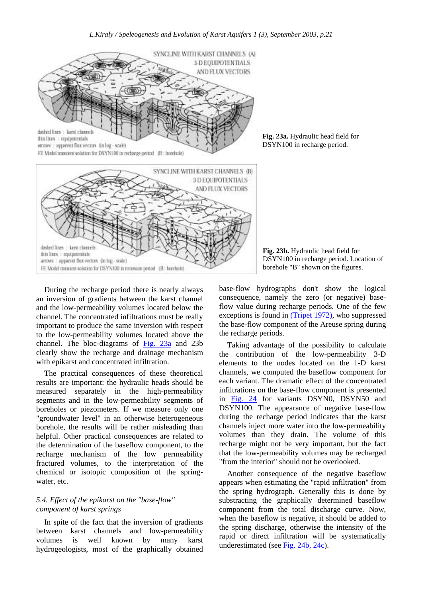



During the recharge period there is nearly always an inversion of gradients between the karst channel and the low-permeability volumes located below the channel. The concentrated infiltrations must be really important to produce the same inversion with respect to the low-permeability volumes located above the channel. The bloc-diagrams of Fig. 23a and 23b clearly show the recharge and drainage mechanism with epikarst and concentrated infiltration.

The practical consequences of these theoretical results are important: the hydraulic heads should be measured separately in the high-permeability segments and in the low-permeability segments of boreholes or piezometers. If we measure only one "groundwater level" in an otherwise heterogeneous borehole, the results will be rather misleading than helpful. Other practical consequences are related to the determination of the baseflow component, to the recharge mechanism of the low permeability fractured volumes, to the interpretation of the chemical or isotopic composition of the springwater, etc.

### *5.4. Effect of the epikarst on the "base-flow" component of karst springs*

In spite of the fact that the inversion of gradients between karst channels and low-permeability volumes is well known by many karst hydrogeologists, most of the graphically obtained

**Fig. 23a.** Hydraulic head field for DSYN100 in recharge period.

**Fig. 23b.** Hydraulic head field for DSYN100 in recharge period. Location of borehole "B" shown on the figures.

base-flow hydrographs don't show the logical consequence, namely the zero (or negative) baseflow value during recharge periods. One of the few exceptions is found in (Tripet 1972), who suppressed the base-flow component of the Areuse spring during the recharge periods.

Taking advantage of the possibility to calculate the contribution of the low-permeability 3-D elements to the nodes located on the 1-D karst channels, we computed the baseflow component for each variant. The dramatic effect of the concentrated infiltrations on the base-flow component is presented in Fig. 24 for variants DSYN0, DSYN50 and DSYN100. The appearance of negative base-flow during the recharge period indicates that the karst channels inject more water into the low-permeability volumes than they drain. The volume of this recharge might not be very important, but the fact that the low-permeability volumes may be recharged "from the interior" should not be overlooked.

Another consequence of the negative baseflow appears when estimating the "rapid infiltration" from the spring hydrograph. Generally this is done by substracting the graphically determined baseflow component from the total discharge curve. Now, when the baseflow is negative, it should be added to the spring discharge, otherwise the intensity of the rapid or direct infiltration will be systematically underestimated (see Fig. 24b, 24c).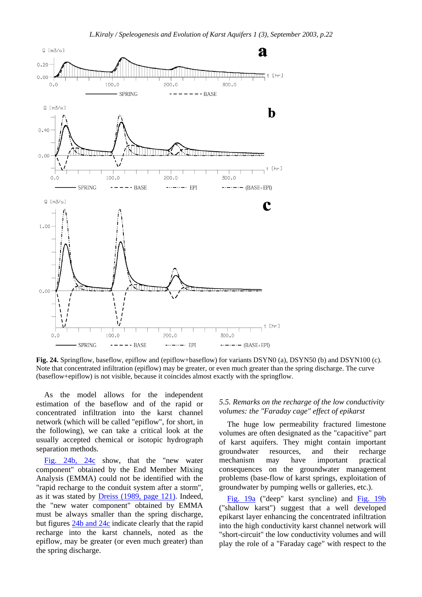

**Fig. 24.** Springflow, baseflow, epiflow and (epiflow+baseflow) for variants DSYN0 (a), DSYN50 (b) and DSYN100 (c). Note that concentrated infiltration (epiflow) may be greater, or even much greater than the spring discharge. The curve (baseflow+epiflow) is not visible, because it coincides almost exactly with the springflow.

As the model allows for the independent estimation of the baseflow and of the rapid or concentrated infiltration into the karst channel network (which will be called "epiflow", for short, in the following), we can take a critical look at the usually accepted chemical or isotopic hydrograph separation methods.

Fig. 24b, 24c show, that the "new water component" obtained by the End Member Mixing Analysis (EMMA) could not be identified with the "rapid recharge to the conduit system after a storm", as it was stated by Dreiss (1989, page 121). Indeed, the "new water component" obtained by EMMA must be always smaller than the spring discharge, but figures 24b and 24c indicate clearly that the rapid recharge into the karst channels, noted as the epiflow, may be greater (or even much greater) than the spring discharge.

### *5.5. Remarks on the recharge of the low conductivity volumes: the "Faraday cage" effect of epikarst*

The huge low permeability fractured limestone volumes are often designated as the "capacitive" part of karst aquifers. They might contain important groundwater resources, and their recharge mechanism may have important practical consequences on the groundwater management problems (base-flow of karst springs, exploitation of groundwater by pumping wells or galleries, etc.).

Fig. 19a ("deep" karst syncline) and Fig. 19b ("shallow karst") suggest that a well developed epikarst layer enhancing the concentrated infiltration into the high conductivity karst channel network will "short-circuit" the low conductivity volumes and will play the role of a "Faraday cage" with respect to the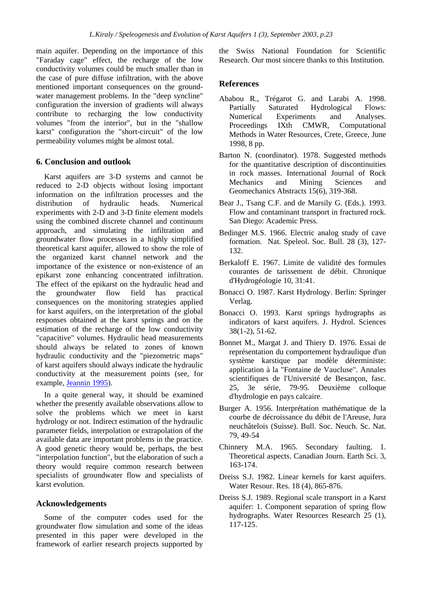main aquifer. Depending on the importance of this "Faraday cage" effect, the recharge of the low conductivity volumes could be much smaller than in the case of pure diffuse infiltration, with the above mentioned important consequences on the groundwater management problems. In the "deep syncline" configuration the inversion of gradients will always contribute to recharging the low conductivity volumes "from the interior", but in the "shallow karst" configuration the "short-circuit" of the low permeability volumes might be almost total.

### **6. Conclusion and outlook**

Karst aquifers are 3-D systems and cannot be reduced to 2-D objects without losing important information on the infiltration processes and the distribution of hydraulic heads. Numerical experiments with 2-D and 3-D finite element models using the combined discrete channel and continuum approach, and simulating the infiltration and groundwater flow processes in a highly simplified theoretical karst aquifer, allowed to show the role of the organized karst channel network and the importance of the existence or non-existence of an epikarst zone enhancing concentrated infiltration. The effect of the epikarst on the hydraulic head and the groundwater flow field has practical consequences on the monitoring strategies applied for karst aquifers, on the interpretation of the global responses obtained at the karst springs and on the estimation of the recharge of the low conductivity "capacitive" volumes. Hydraulic head measurements should always be related to zones of known hydraulic conductivity and the "piezometric maps" of karst aquifers should always indicate the hydraulic conductivity at the measurement points (see, for example, Jeannin 1995).

In a quite general way, it should be examined whether the presently available observations allow to solve the problems which we meet in karst hydrology or not. Indirect estimation of the hydraulic parameter fields, interpolation or extrapolation of the available data are important problems in the practice. A good genetic theory would be, perhaps, the best "interpolation function", but the elaboration of such a theory would require common research between specialists of groundwater flow and specialists of karst evolution.

### **Acknowledgements**

Some of the computer codes used for the groundwater flow simulation and some of the ideas presented in this paper were developed in the framework of earlier research projects supported by

the Swiss National Foundation for Scientific Research. Our most sincere thanks to this Institution.

### **References**

- Ababou R., Trégarot G. and Larabi A. 1998. Partially Saturated Hydrological Flows:<br>Numerical Experiments and Analyses. Numerical Experiments and Analyses. Proceedings IXth CMWR, Computational Methods in Water Resources, Crete, Greece, June 1998, 8 pp.
- Barton N. (coordinator). 1978. Suggested methods for the quantitative description of discontinuities in rock masses. International Journal of Rock Mechanics and Mining Sciences and Geomechanics Abstracts 15(6), 319-368.
- Bear J., Tsang C.F. and de Marsily G. (Eds.). 1993. Flow and contaminant transport in fractured rock. San Diego: Academic Press*.*
- Bedinger M.S. 1966. Electric analog study of cave formation. Nat. Speleol. Soc. Bull. 28 (3), 127- 132.
- Berkaloff E. 1967. Limite de validité des formules courantes de tarissement de débit. Chronique d'Hydrogéologie 10, 31:41.
- Bonacci O. 1987. Karst Hydrology. Berlin: Springer Verlag.
- Bonacci O. 1993. Karst springs hydrographs as indicators of karst aquifers. J. Hydrol. Sciences 38(1-2), 51-62.
- Bonnet M., Margat J. and Thiery D. 1976. Essai de représentation du comportement hydraulique d'un système karstique par modèle déterministe: application à la "Fontaine de Vaucluse". Annales scientifiques de l'Université de Besançon, fasc. 25, 3e série, 79-95. Deuxième colloque d'hydrologie en pays calcaire.
- Burger A. 1956. Interprétation mathématique de la courbe de décroissance du débit de l'Areuse, Jura neuchâtelois (Suisse). Bull. Soc. Neuch. Sc. Nat. 79, 49-54
- Chinnery M.A. 1965. Secondary faulting. 1. Theoretical aspects. Canadian Journ. Earth Sci. 3, 163-174.
- Dreiss S.J. 1982. Linear kernels for karst aquifers. Water Resour. Res. 18 (4), 865-876.
- Dreiss S.J. 1989. Regional scale transport in a Karst aquifer: 1. Component separation of spring flow hydrographs. Water Resources Research 25 (1), 117-125.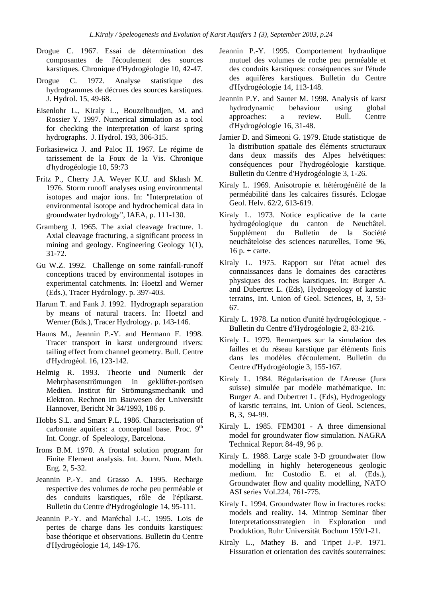- Drogue C. 1967. Essai de détermination des composantes de l'écoulement des sources karstiques. Chronique d'Hydrogéologie 10, 42-47.
- Drogue C. 1972. Analyse statistique des hydrogrammes de décrues des sources karstiques. J. Hydrol. 15, 49-68.
- Eisenlohr L., Kiraly L., Bouzelboudjen, M. and Rossier Y. 1997. Numerical simulation as a tool for checking the interpretation of karst spring hydrographs. J. Hydrol. 193, 306-315.
- Forkasiewicz J. and Paloc H. 1967. Le régime de tarissement de la Foux de la Vis. Chronique d'hydrogéologie 10, 59:73
- Fritz P., Cherry J.A. Weyer K.U. and Sklash M. 1976. Storm runoff analyses using environmental isotopes and major ions. In: "Interpretation of environmental isotope and hydrochemical data in groundwater hydrology", IAEA, p. 111-130.
- Gramberg J. 1965. The axial cleavage fracture. 1. Axial cleavage fracturing, a significant process in mining and geology. Engineering Geology 1(1), 31-72.
- Gu W.Z. 1992. Challenge on some rainfall-runoff conceptions traced by environmental isotopes in experimental catchments. In: Hoetzl and Werner (Eds.), Tracer Hydrology. p. 397-403.
- Harum T. and Fank J. 1992. Hydrograph separation by means of natural tracers. In: Hoetzl and Werner (Eds.), Tracer Hydrology. p. 143-146.
- Hauns M., Jeannin P.-Y. and Hermann F. 1998. Tracer transport in karst underground rivers: tailing effect from channel geometry. Bull. Centre d'Hydrogéol. 16, 123-142.
- Helmig R. 1993. Theorie und Numerik der Mehrphasenströmungen in geklüftet-porösen Medien. Institut für Strömungsmechanik und Elektron. Rechnen im Bauwesen der Universität Hannover, Bericht Nr 34/1993, 186 p.
- Hobbs S.L. and Smart P.L. 1986. Characterisation of carbonate aquifers: a conceptual base. Proc.  $9<sup>th</sup>$ Int. Congr. of Speleology, Barcelona.
- Irons B.M. 1970. A frontal solution program for Finite Element analysis. Int. Journ. Num. Meth. Eng. 2, 5-32.
- Jeannin P.-Y. and Grasso A. 1995. Recharge respective des volumes de roche peu perméable et des conduits karstiques, rôle de l'épikarst. Bulletin du Centre d'Hydrogéologie 14, 95-111.
- Jeannin P.-Y. and Maréchal J.-C. 1995. Lois de pertes de charge dans les conduits karstiques: base théorique et observations. Bulletin du Centre d'Hydrogéologie 14, 149-176.
- Jeannin P.-Y. 1995. Comportement hydraulique mutuel des volumes de roche peu perméable et des conduits karstiques: conséquences sur l'étude des aquifères karstiques. Bulletin du Centre d'Hydrogéologie 14, 113-148.
- Jeannin P.Y. and Sauter M. 1998. Analysis of karst hydrodynamic behaviour using global approaches: a review. Bull. Centre d'Hydrogéologie 16, 31-48.
- Jamier D. and Simeoni G. 1979. Etude statistique de la distribution spatiale des éléments structuraux dans deux massifs des Alpes helvétiques: conséquences pour l'hydrogéologie karstique. Bulletin du Centre d'Hydrogéologie 3, 1-26.
- Kiraly L. 1969. Anisotropie et hétérogénéité de la perméabilité dans les calcaires fissurés. Eclogae Geol. Helv. 62/2, 613-619.
- Kiraly L. 1973. Notice explicative de la carte hydrogéologique du canton de Neuchâtel. Supplément du Bulletin de la Société neuchâteloise des sciences naturelles, Tome 96,  $16 p. + \text{carte}.$
- Kiraly L. 1975. Rapport sur l'état actuel des connaissances dans le domaines des caractères physiques des roches karstiques. In: Burger A. and Dubertret L. (Eds), Hydrogeology of karstic terrains, Int. Union of Geol. Sciences, B, 3, 53- 67.
- Kiraly L. 1978. La notion d'unité hydrogéologique. Bulletin du Centre d'Hydrogéologie 2, 83-216.
- Kiraly L. 1979. Remarques sur la simulation des failles et du réseau karstique par éléments finis dans les modèles d'écoulement. Bulletin du Centre d'Hydrogéologie 3, 155-167.
- Kiraly L. 1984. Régularisation de l'Areuse (Jura suisse) simulée par modèle mathématique. In: Burger A. and Dubertret L. (Eds), Hydrogeology of karstic terrains, Int. Union of Geol. Sciences, B, 3, 94-99.
- Kiraly L. 1985. FEM301 A three dimensional model for groundwater flow simulation. NAGRA Technical Report 84-49, 96 p.
- Kiraly L. 1988. Large scale 3-D groundwater flow modelling in highly heterogeneous geologic medium. In: Custodio E. et al. (Eds.), Groundwater flow and quality modelling, NATO ASI series Vol.224, 761-775.
- Kiraly L. 1994. Groundwater flow in fractures rocks: models and reality. 14. Mintrop Seminar über Interpretationsstrategien in Exploration und Produktion, Ruhr Universität Bochum 159/1-21.
- Kiraly L., Mathey B. and Tripet J.-P. 1971. Fissuration et orientation des cavités souterraines: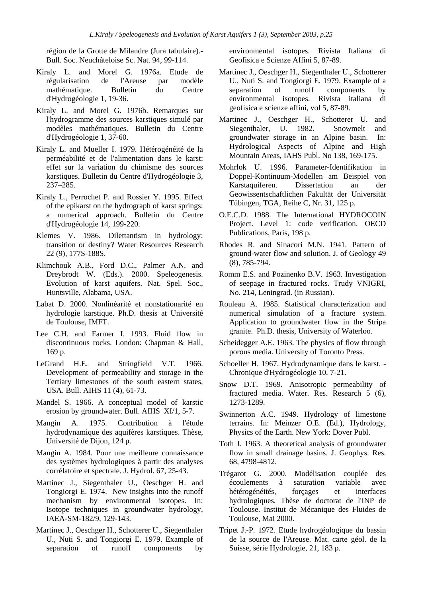région de la Grotte de Milandre (Jura tabulaire).- Bull. Soc. Neuchâteloise Sc. Nat. 94, 99-114.

- Kiraly L. and Morel G. 1976a. Etude de régularisation de l'Areuse par modèle mathématique. Bulletin du Centre d'Hydrogéologie 1, 19-36.
- Kiraly L. and Morel G. 1976b. Remarques sur l'hydrogramme des sources karstiques simulé par modèles mathématiques. Bulletin du Centre d'Hydrogéologie 1, 37-60.
- Kiraly L. and Mueller I. 1979. Hétérogénéité de la perméabilité et de l'alimentation dans le karst: effet sur la variation du chimisme des sources karstiques. Bulletin du Centre d'Hydrogéologie 3, 237–285.
- Kiraly L., Perrochet P. and Rossier Y. 1995. Effect of the epikarst on the hydrograph of karst springs: a numerical approach. Bulletin du Centre d'Hydrogéologie 14, 199-220.
- Klemes V. 1986. Dilettantism in hydrology: transition or destiny? Water Resources Research 22 (9), 177S-188S.
- Klimchouk A.B., Ford D.C., Palmer A.N. and Dreybrodt W. (Eds.). 2000. Speleogenesis. Evolution of karst aquifers. Nat. Spel. Soc., Huntsville, Alabama, USA.
- Labat D. 2000. Nonlinéarité et nonstationarité en hydrologie karstique. Ph.D. thesis at Université de Toulouse, IMFT.
- Lee C.H. and Farmer I. 1993. Fluid flow in discontinuous rocks. London: Chapman & Hall, 169 p.
- LeGrand H.E. and Stringfield V.T. 1966. Development of permeability and storage in the Tertiary limestones of the south eastern states, USA. Bull. AIHS 11 (4), 61-73.
- Mandel S. 1966. A conceptual model of karstic erosion by groundwater. Bull. AIHS XI/1, 5-7.
- Mangin A. 1975. Contribution à l'étude hydrodynamique des aquifères karstiques. Thèse, Université de Dijon, 124 p.
- Mangin A. 1984. Pour une meilleure connaissance des systèmes hydrologiques à partir des analyses corrélatoire et spectrale. J. Hydrol. 67, 25-43.
- Martinec J., Siegenthaler U., Oeschger H. and Tongiorgi E. 1974. New insights into the runoff mechanism by environmental isotopes. In: Isotope techniques in groundwater hydrology, IAEA-SM-182/9, 129-143.
- Martinec J., Oeschger H., Schotterer U., Siegenthaler U., Nuti S. and Tongiorgi E. 1979. Example of separation of runoff components by

environmental isotopes. Rivista Italiana di Geofisica e Scienze Affini 5, 87-89.

- Martinec J., Oeschger H., Siegenthaler U., Schotterer U., Nuti S. and Tongiorgi E. 1979. Example of a separation of runoff components by environmental isotopes. Rivista italiana di geofisica e scienze affini, vol 5, 87-89.
- Martinec J., Oeschger H., Schotterer U. and Siegenthaler, U. 1982. Snowmelt and groundwater storage in an Alpine basin. In: Hydrological Aspects of Alpine and High Mountain Areas, IAHS Publ. No 138, 169-175.
- Mohrlok U. 1996. Parameter-Identifikation in Doppel-Kontinuum-Modellen am Beispiel von Karstaquiferen. Dissertation an der Geowissentschaftlichen Fakultät der Universität Tübingen, TGA, Reihe C, Nr. 31, 125 p.
- O.E.C.D. 1988. The International HYDROCOIN Project. Level 1: code verification. OECD Publications, Paris, 198 p.
- Rhodes R. and Sinacori M.N. 1941. Pattern of ground-water flow and solution. J. of Geology 49 (8), 785-794.
- Romm E.S. and Pozinenko B.V. 1963. Investigation of seepage in fractured rocks. Trudy VNIGRI, No. 214, Leningrad. (in Russian).
- Rouleau A. 1985. Statistical characterization and numerical simulation of a fracture system. Application to groundwater flow in the Stripa granite. Ph.D. thesis, University of Waterloo.
- Scheidegger A.E. 1963. The physics of flow through porous media. University of Toronto Press.
- Schoeller H. 1967. Hydrodynamique dans le karst. Chronique d'Hydrogéologie 10, 7-21.
- Snow D.T. 1969. Anisotropic permeability of fractured media. Water. Res. Research 5 (6), 1273-1289.
- Swinnerton A.C. 1949. Hydrology of limestone terrains. In: Meinzer O.E. (Ed.), Hydrology, Physics of the Earth. New York: Dover Publ.
- Toth J. 1963. A theoretical analysis of groundwater flow in small drainage basins. J. Geophys. Res. 68, 4798-4812.
- Trégarot G. 2000. Modélisation couplée des écoulements à saturation variable avec hétérogénéités, forçages et interfaces hydrologiques*.* Thèse de doctorat de l'INP de Toulouse. Institut de Mécanique des Fluides de Toulouse, Mai 2000.
- Tripet J.-P. 1972. Etude hydrogéologique du bassin de la source de l'Areuse. Mat. carte géol. de la Suisse, série Hydrologie, 21, 183 p.